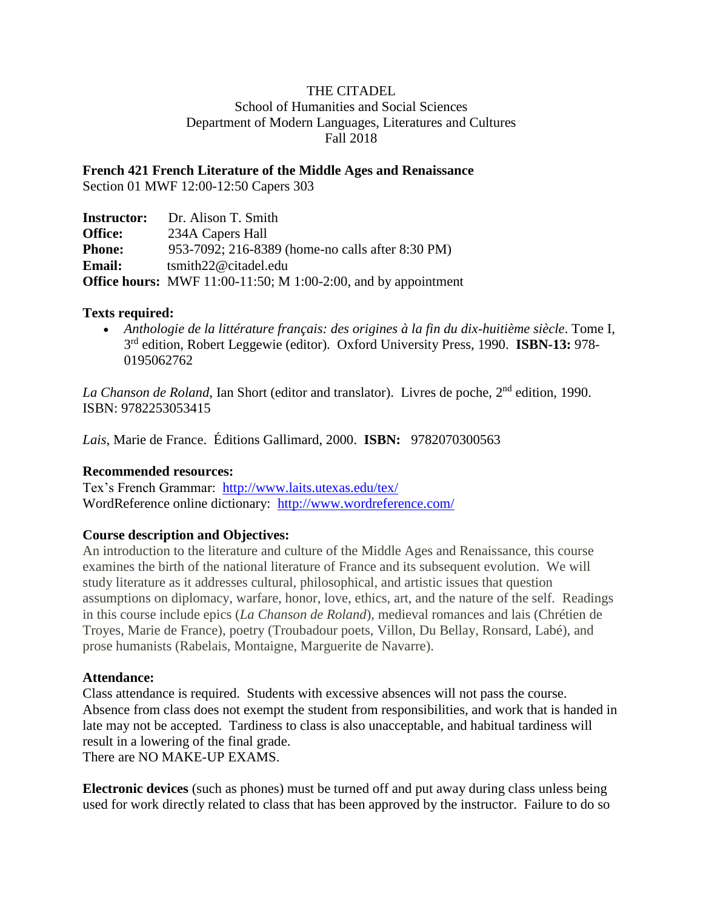# THE CITADEL

School of Humanities and Social Sciences Department of Modern Languages, Literatures and Cultures Fall 2018

**French 421 French Literature of the Middle Ages and Renaissance**

Section 01 MWF 12:00-12:50 Capers 303

| <b>Instructor:</b> | Dr. Alison T. Smith                                            |
|--------------------|----------------------------------------------------------------|
| <b>Office:</b>     | 234A Capers Hall                                               |
| <b>Phone:</b>      | 953-7092; 216-8389 (home-no calls after 8:30 PM)               |
| <b>Email:</b>      | $t$ smith22@citadel.edu                                        |
|                    | Office hours: MWF 11:00-11:50; M 1:00-2:00, and by appointment |

# **Texts required:**

• *Anthologie de la littérature français: des origines à la fin du dix-huitième siècle*. Tome I, 3 rd edition, Robert Leggewie (editor). Oxford University Press, 1990. **ISBN-13:** 978- 0195062762

*La Chanson de Roland*, Ian Short (editor and translator). Livres de poche, 2<sup>nd</sup> edition, 1990. ISBN: 9782253053415

*Lais*, Marie de France. Éditions Gallimard, 2000. **ISBN:** 9782070300563

#### **Recommended resources:**

Tex's French Grammar: <http://www.laits.utexas.edu/tex/> WordReference online dictionary: <http://www.wordreference.com/>

# **Course description and Objectives:**

An introduction to the literature and culture of the Middle Ages and Renaissance, this course examines the birth of the national literature of France and its subsequent evolution. We will study literature as it addresses cultural, philosophical, and artistic issues that question assumptions on diplomacy, warfare, honor, love, ethics, art, and the nature of the self. Readings in this course include epics (*La Chanson de Roland*), medieval romances and lais (Chrétien de Troyes, Marie de France), poetry (Troubadour poets, Villon, Du Bellay, Ronsard, Labé), and prose humanists (Rabelais, Montaigne, Marguerite de Navarre).

#### **Attendance:**

Class attendance is required. Students with excessive absences will not pass the course. Absence from class does not exempt the student from responsibilities, and work that is handed in late may not be accepted. Tardiness to class is also unacceptable, and habitual tardiness will result in a lowering of the final grade. There are NO MAKE-UP EXAMS.

**Electronic devices** (such as phones) must be turned off and put away during class unless being used for work directly related to class that has been approved by the instructor. Failure to do so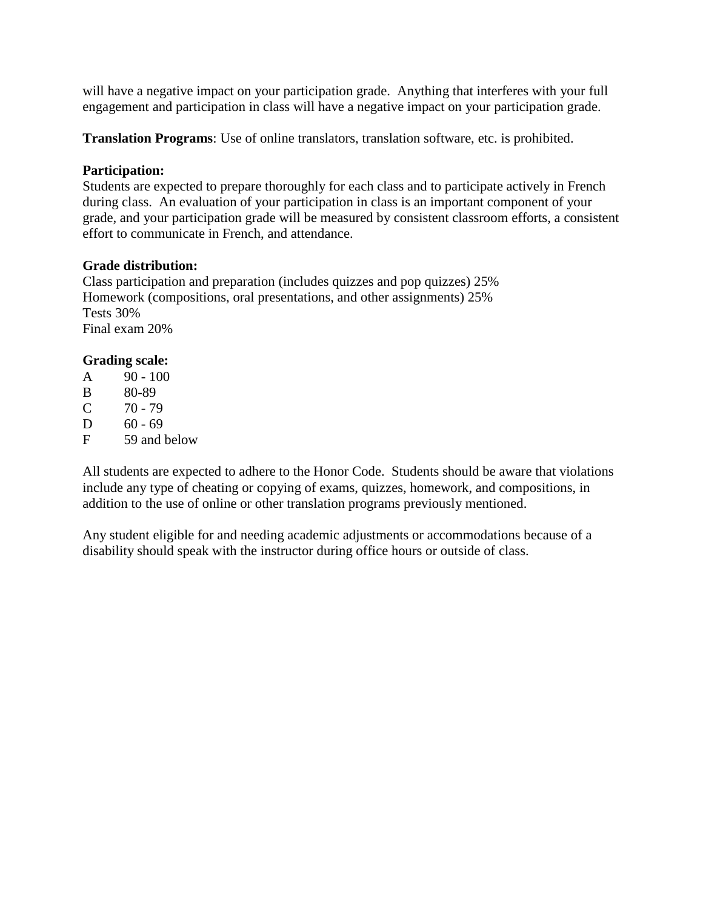will have a negative impact on your participation grade. Anything that interferes with your full engagement and participation in class will have a negative impact on your participation grade.

**Translation Programs**: Use of online translators, translation software, etc. is prohibited.

# **Participation:**

Students are expected to prepare thoroughly for each class and to participate actively in French during class. An evaluation of your participation in class is an important component of your grade, and your participation grade will be measured by consistent classroom efforts, a consistent effort to communicate in French, and attendance.

# **Grade distribution:**

Class participation and preparation (includes quizzes and pop quizzes) 25% Homework (compositions, oral presentations, and other assignments) 25% Tests 30% Final exam 20%

# **Grading scale:**

- $A = 90 100$
- B 80-89
- $C = 70 79$
- D  $60 69$
- F 59 and below

All students are expected to adhere to the Honor Code. Students should be aware that violations include any type of cheating or copying of exams, quizzes, homework, and compositions, in addition to the use of online or other translation programs previously mentioned.

Any student eligible for and needing academic adjustments or accommodations because of a disability should speak with the instructor during office hours or outside of class.